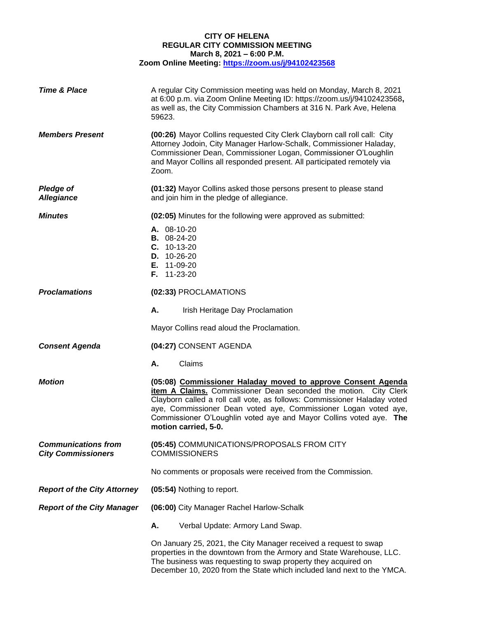## **CITY OF HELENA REGULAR CITY COMMISSION MEETING March 8, 2021 – 6:00 P.M. Zoom Online Meeting:<https://zoom.us/j/94102423568>**

| <b>Time &amp; Place</b>                                 | A regular City Commission meeting was held on Monday, March 8, 2021<br>at 6:00 p.m. via Zoom Online Meeting ID: https://zoom.us/j/94102423568,<br>as well as, the City Commission Chambers at 316 N. Park Ave, Helena<br>59623.                                                                                                                                               |
|---------------------------------------------------------|-------------------------------------------------------------------------------------------------------------------------------------------------------------------------------------------------------------------------------------------------------------------------------------------------------------------------------------------------------------------------------|
| <b>Members Present</b>                                  | (00:26) Mayor Collins requested City Clerk Clayborn call roll call: City<br>Attorney Jodoin, City Manager Harlow-Schalk, Commissioner Haladay,<br>Commissioner Dean, Commissioner Logan, Commissioner O'Loughlin<br>and Mayor Collins all responded present. All participated remotely via<br>Zoom.                                                                           |
| <b>Pledge of</b><br><b>Allegiance</b>                   | (01:32) Mayor Collins asked those persons present to please stand<br>and join him in the pledge of allegiance.                                                                                                                                                                                                                                                                |
| <b>Minutes</b>                                          | (02:05) Minutes for the following were approved as submitted:                                                                                                                                                                                                                                                                                                                 |
|                                                         | A. 08-10-20<br><b>B.</b> 08-24-20<br>$C. 10-13-20$<br>D. 10-26-20<br><b>E.</b> 11-09-20<br>F. 11-23-20                                                                                                                                                                                                                                                                        |
| <b>Proclamations</b>                                    | (02:33) PROCLAMATIONS                                                                                                                                                                                                                                                                                                                                                         |
|                                                         | А.<br>Irish Heritage Day Proclamation                                                                                                                                                                                                                                                                                                                                         |
|                                                         | Mayor Collins read aloud the Proclamation.                                                                                                                                                                                                                                                                                                                                    |
| <b>Consent Agenda</b>                                   | (04:27) CONSENT AGENDA                                                                                                                                                                                                                                                                                                                                                        |
|                                                         | Claims<br>А.                                                                                                                                                                                                                                                                                                                                                                  |
| <b>Motion</b>                                           | (05:08) Commissioner Haladay moved to approve Consent Agenda<br>item A Claims. Commissioner Dean seconded the motion. City Clerk<br>Clayborn called a roll call vote, as follows: Commissioner Haladay voted<br>aye, Commissioner Dean voted aye, Commissioner Logan voted aye,<br>Commissioner O'Loughlin voted aye and Mayor Collins voted aye. The<br>motion carried, 5-0. |
| <b>Communications from</b><br><b>City Commissioners</b> | (05:45) COMMUNICATIONS/PROPOSALS FROM CITY<br><b>COMMISSIONERS</b>                                                                                                                                                                                                                                                                                                            |
|                                                         | No comments or proposals were received from the Commission.                                                                                                                                                                                                                                                                                                                   |
| <b>Report of the City Attorney</b>                      | (05:54) Nothing to report.                                                                                                                                                                                                                                                                                                                                                    |
| <b>Report of the City Manager</b>                       | (06:00) City Manager Rachel Harlow-Schalk                                                                                                                                                                                                                                                                                                                                     |
|                                                         | А.<br>Verbal Update: Armory Land Swap.                                                                                                                                                                                                                                                                                                                                        |
|                                                         | On January 25, 2021, the City Manager received a request to swap<br>properties in the downtown from the Armory and State Warehouse, LLC.<br>The business was requesting to swap property they acquired on<br>December 10, 2020 from the State which included land next to the YMCA.                                                                                           |